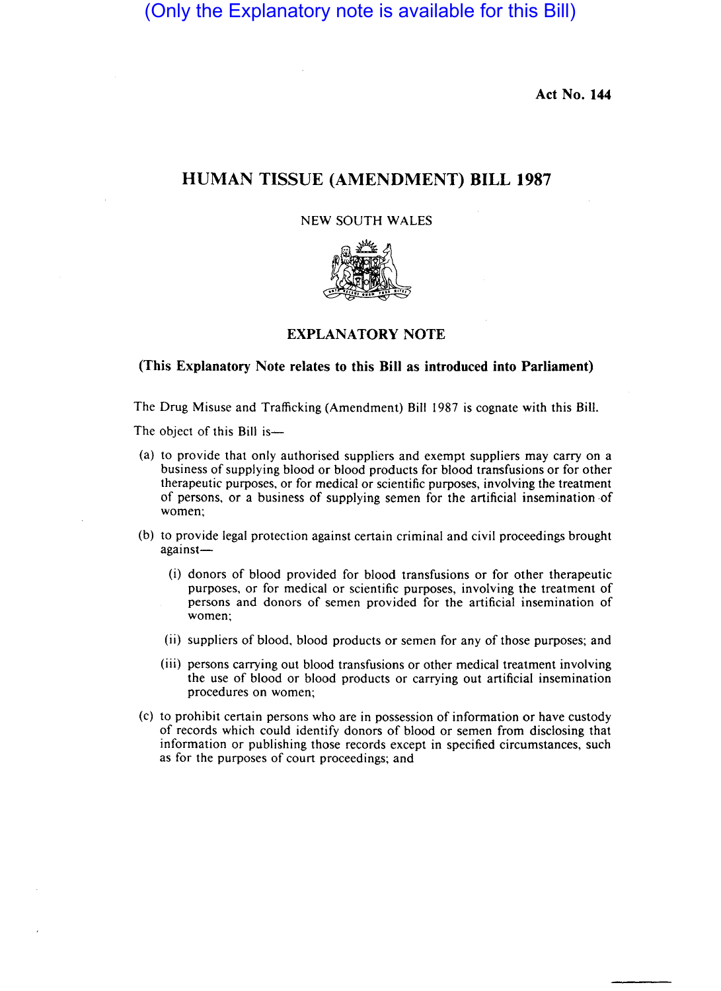(Only the Explanatory note is available for this Bill)

**Act No. 144** 

## **HUMAN TISSUE (AMENDMENT) BILL 1987**

## NEW SOUTH WALES



## **EXPLANATORY NOTE**

## **(This Explanatory Note relates to this Bill as introduced into Parliament)**

The Drug Misuse and Trafficking (Amendment) Bill 1987 is cognate with this Bill.

The object of this Bill is-

- (a) to provide that only authorised suppliers and exempt suppliers may carry on a business of supplying blood or blood products for blood transfusions or for other therapeutic purposes, or for medical or scientific purposes, involving the treatment of persons, or a business of supplying semen for the artificial insemination ·of women;
- (b) to provide legal protection against certain criminal and civil proceedings brought against—
	- (i) donors of blood provided for blood transfusions or for other therapeutic purposes, or for medical or scientific purposes, involving the treatment of persons and donors of semen provided for the artificial insemination of women;
	- (ii) suppliers of blood, blood products or semen for any of those purposes; and
	- (iii) persons carrying out blood transfusions or other medical treatment involving the use of blood or blood products or carrying out artificial insemination procedures on women;
- (c) to prohibit certain persons who are in possession of information or have custody of records which could identify donors of blood or semen from disclosing that information or publishing those records except in specified circumstances, such as for the purposes of court proceedings; and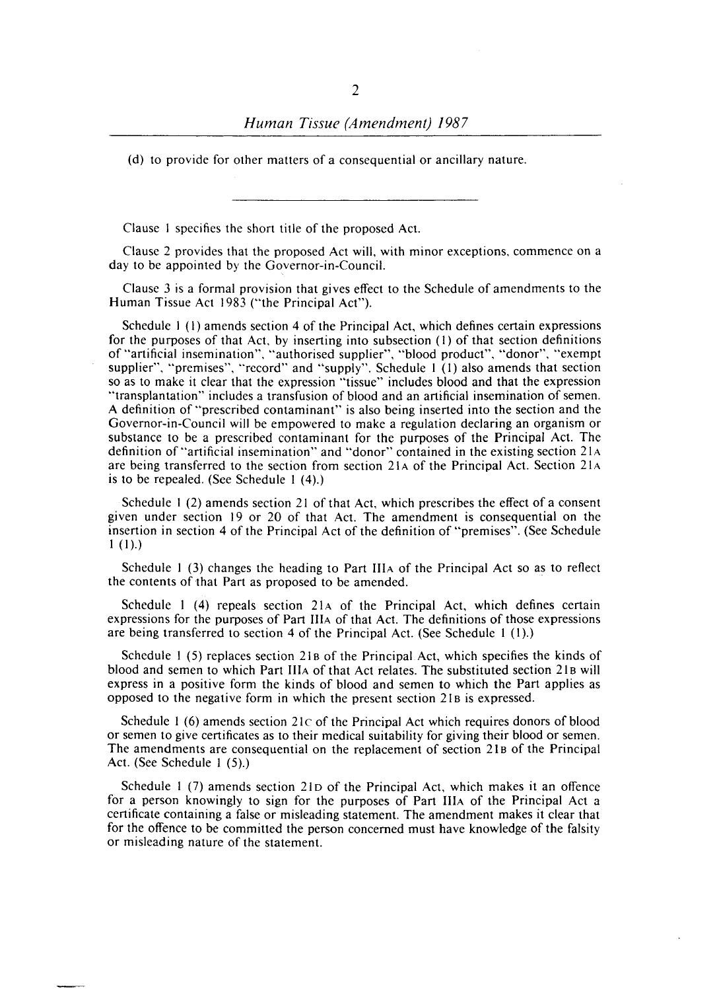(d) to provide for other matters of a consequential or ancillary nature.

Clause I specifies the short title of the proposed Act.

Clause 2 provides that the proposed Act will, with minor exceptions, commence on a day to be appointed by the Governor-in-Council.

Clause 3 is a formal provision that gives effect to the Schedule of amendments to the Human Tissue Act 1983 ("the Principal Act").

Schedule I (I) amends section 4 of the Principal Act, which defines certain expressions for the purposes of that Act. by inserting into subsection (I) of that section definitions of "artificial insemination", "authorised supplier", "blood product", "donor", "exempt supplier", "premises", "record" and "supply". Schedule I (I) also amends that section so as to make it clear that the expression "tissue" includes blood and that the expression "transplantation" includes a transfusion of blood and an artificial insemination of semen. A definition of "prescribed contaminant" is also being inserted into the section and the Governor-in-Council will be empowered to make a regulation declaring an organism or substance to be a prescribed contaminant for the purposes of the Principal Act. The definition of "artificial insemination" and "donor" contained in the existing section 21 A are being transferred to the section from section 21 A of the Principal Act. Section 21 A is to be repealed. (See Schedule I (4).)

Schedule I (2) amends section 21 of that Act, which prescribes the effect of a consent given under section 19 or 20 of that Act. The amendment is consequential on the insertion in section 4 of the Principal Act of the definition of "premises". (See Schedule  $1(1).$ 

Schedule I (3) changes the heading to Part IIIA of the Principal Act so as to reflect the contents of that Part as proposed to be amended. .

Schedule  $1$  (4) repeals section 21 $\alpha$  of the Principal Act, which defines certain expressions for the purposes of Part IlIA of that Act. The definitions of those expressions are being transferred to section 4 of the Principal Act. (See Schedule 1 (1).)

Schedule 1 (5) replaces section 21B of the Principal Act, which specifies the kinds of blood and semen to which Part IIIA of that Act relates. The substituted section 21B will express in a positive form the kinds of blood and semen to which the Part applies as opposed to the negative form in which the present section 21B is expressed.

Schedule 1 (6) amends section  $21c$  of the Principal Act which requires donors of blood or semen to give certificates as to their medical suitability for giving their blood or semen. The amendments are consequential on the replacement of section 21B of the Principal Act. (See Schedule I (5).)

Schedule 1 (7) amends section 21D of the Principal Act, which makes it an offence for a person knowingly to sign for the purposes of Part IlIA of the Principal Act a certificate containing a false or misleading statement. The amendment makes it clear that for the offence to be committed the person concerned must have knowledge of the falsity or misleading nature of the statement.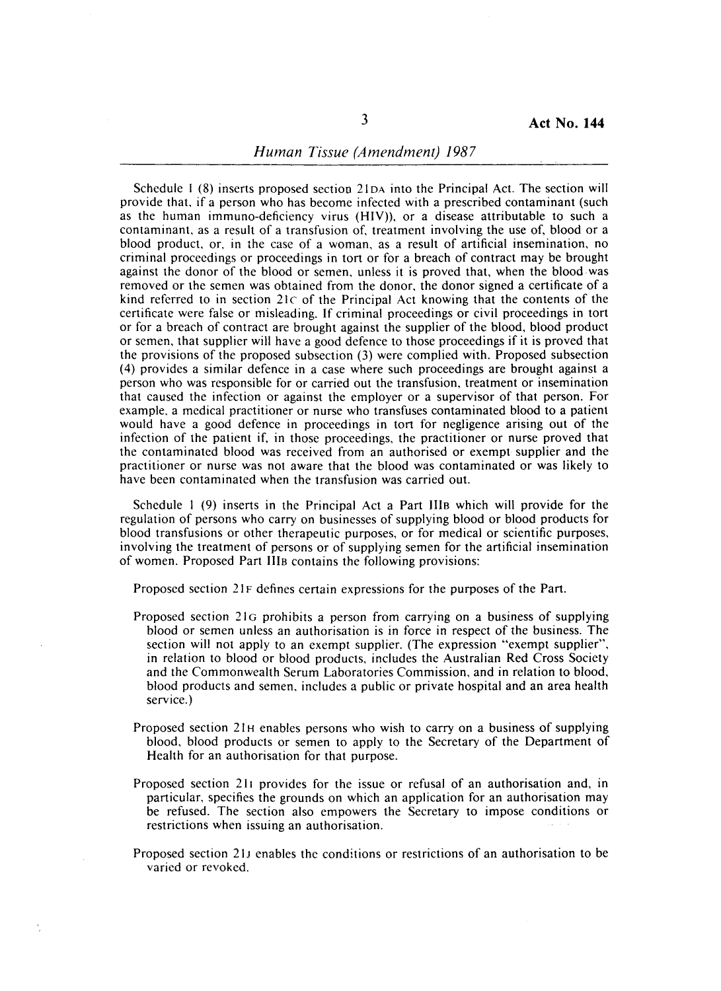Schedule I (8) inserts proposed section 21 DA into the Principal Act. The section will provide that, if a person who has become infected with a prescribed contaminant (such as the human immuno-deficiency virus (HIV)), or a disease attributable to such a contaminant, as a result of a transfusion of, treatment involving the use of, blood or a blood product, or, in the case of a woman, as a result of artificial insemination, no criminal proceedings or proceedings in tort or for a breach of contract may be brought against the donor of the blood or semen, unless it is proved that, when the blood was removed or the semen was obtained from the donor, the donor signed a certificate of a kind referred to in section 21c of the Principal Act knowing that the contents of the certificate were false or misleading. If criminal proceedings or civil proceedings in tort or for a breach of contract are brought against the supplier of the blood, blood product or semen, that supplier will have a good defence to those proceedings if it is proved that the provisions of the proposed subsection (3) were complied with. Proposed subsection (4) provides a similar defence in a case where such proceedings are brought against a person who was responsible for or carried out the transfusion, treatment or insemination that caused the infection or against the employer or a supervisor of that person. For example, a medical practitioner or nurse who transfuses contaminated blood to a patient would have a good defence in proceedings in tort for negligence arising out of the infection of the patient if, in those proceedings, the practitioner or nurse proved that the contaminated blood was received from an authorised or exempt supplier and the practitioner or nurse was not aware that the blood was contaminated or was likely to have been contaminated when the transfusion was carried out.

Schedule I (9) inserts in the Principal Act a Part IIlB which will provide for the regulation of persons who carry on businesses of supplying blood or blood products for blood transfusions or other therapeutic purposes, or for medical or scientific purposes, involving the treatment of persons or of supplying semen for the artificial insemination of women. Proposed Part IIIB contains the following provisions:

Proposed section 21F defines certain expressions for the purposes of the Part.

- Proposed section 21G prohibits a person from carrying on a business of supplying blood or semen unless an authorisation is in force in respect of the business. The section will not apply to an exempt supplier. (The expression "exempt supplier", in relation to blood or blood products, includes the Australian Red Cross Society and the Commonwealth Serum Laboratories Commission, and in relation to blood, blood products and semen, includes a public or private hospital and an area health service.)
- Proposed section 21H enables persons who wish to carry on a business of supplying blood, blood products or semen to apply to the Secretary of the Department of Health for an authorisation for that purpose.
- Proposed section 211 provides for the issue or refusal of an authorisation and, in particular, specifies the grounds on which an application for an authorisation may be refused. The section also empowers the Secretary to impose conditions or restrictions when issuing an authorisation.
- Proposed section 21 J enables the conditions or restrictions of an authorisation to be varied or revoked.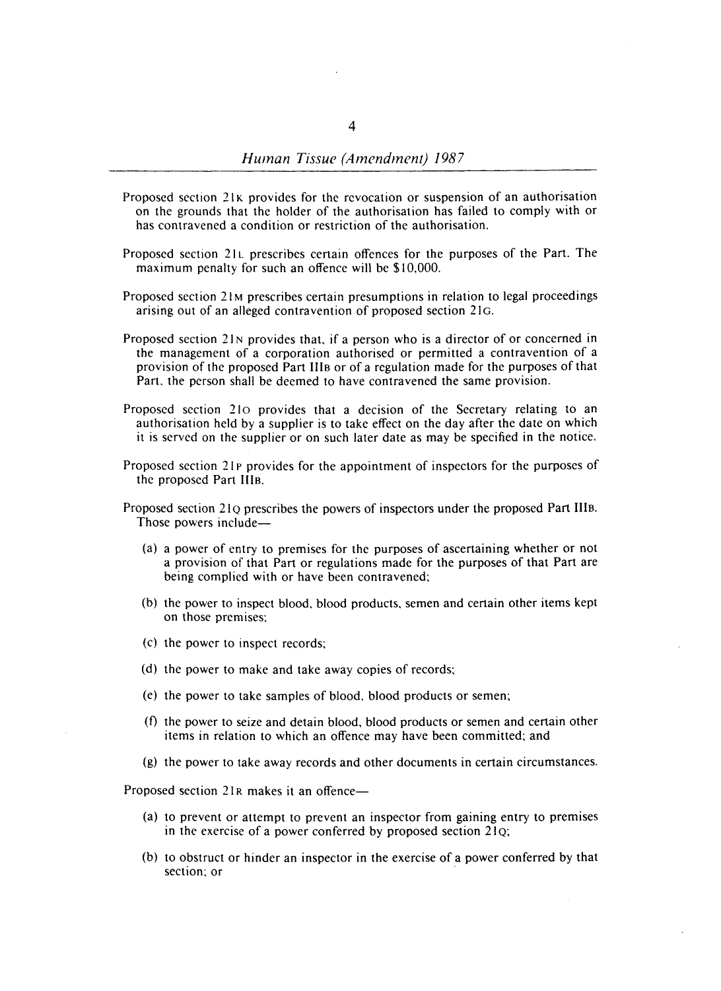- Proposed section 21K provides for the revocation or suspension of an authorisation on the grounds that the holder of the authorisation has failed to comply with or has contravened a condition or restriction of the authorisation.
- Proposed section 21l prescribes certain offences for the purposes of the Part. The maximum penalty for such an offence will be \$10,000.
- Proposed section 21 M prescribes certain presumptions in relation to legal proceedings arising out of an alleged contravention of proposed section 21G.
- Proposed section 21N provides that, if a person who is a director of or concerned in the management of a corporation authorised or permitted a contravention of a provision of the proposed Part Ills or of a regulation made for the purposes of that Part. the person shall be deemed to have contravened the same provision.
- Proposed section 210 provides that a decision of the Secretary relating to an authorisation held by a supplier is to take effect on the day after the date on which it is served on the supplier or on such later date as may be specified in the notice.
- Proposed section 21P provides for the appointment of inspectors for the purposes of the proposed Part IIIs.
- Proposed section 210 prescribes the powers of inspectors under the proposed Part IIIB. Those powers include-
	- (a) a power of entry to premises for the purposes of ascertaining whether or not a provision of that Part or regulations made for the purposes of that Part are being complied with or have been contravened;
	- (b) the power to inspect blood. blood products, semen and certain other items kept on those premises;
	- (c) the power to inspect records;
	- (d) the power to make and take away copies of records;
	- (e) the power to take samples of blood. blood products or semen;
	- $(f)$  the power to seize and detain blood, blood products or semen and certain other items in relation to which an offence may have been committed; and
	- (g) the power to take away records and other documents in certain circumstances.

Proposed section 21R makes it an offence-

- (a) to prevent or attempt to prevent an inspector from gaining entry to premises in the exercise of a power conferred by proposed section  $21Q$ ;
- (b) to obstruct or hinder an inspector in the exercise of a power conferred by that section; or